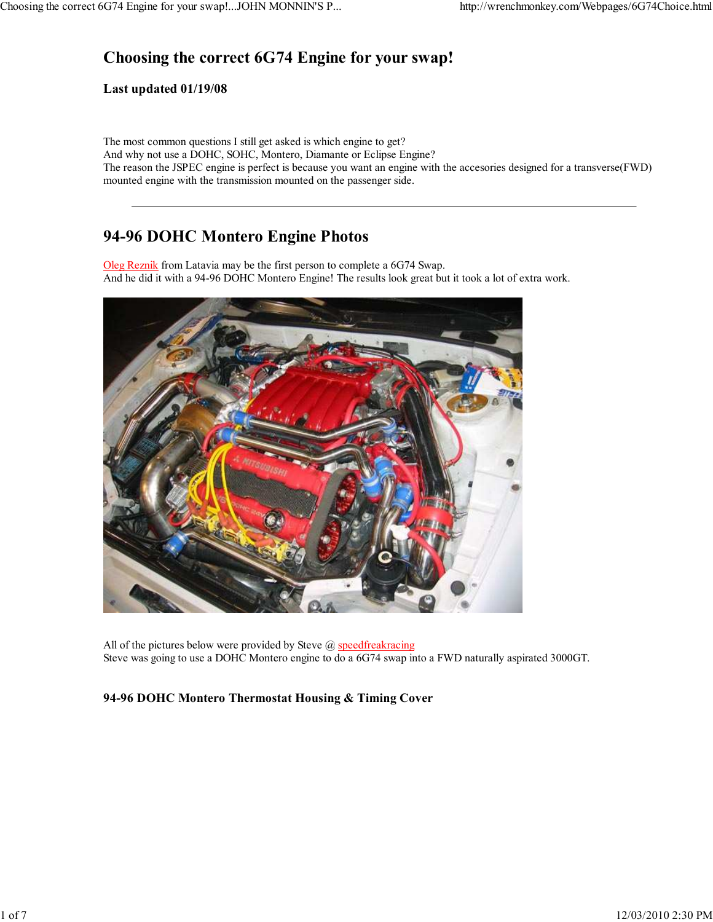# **Choosing the correct 6G74 Engine for your swap!**

#### **Last updated 01/19/08**

The most common questions I still get asked is which engine to get? And why not use a DOHC, SOHC, Montero, Diamante or Eclipse Engine? The reason the JSPEC engine is perfect is because you want an engine with the accesories designed for a transverse(FWD) mounted engine with the transmission mounted on the passenger side.

## **94-96 DOHC Montero Engine Photos**

Oleg Reznik from Latavia may be the first person to complete a 6G74 Swap. And he did it with a 94-96 DOHC Montero Engine! The results look great but it took a lot of extra work.



All of the pictures below were provided by Steve @ speedfreakracing Steve was going to use a DOHC Montero engine to do a 6G74 swap into a FWD naturally aspirated 3000GT.

### **94-96 DOHC Montero Thermostat Housing & Timing Cover**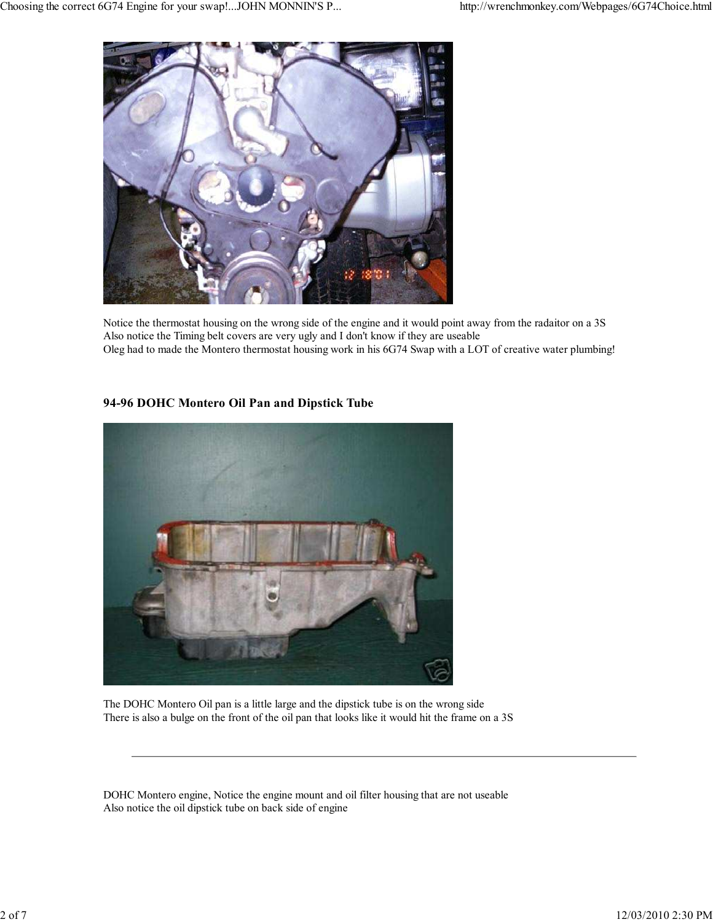

Notice the thermostat housing on the wrong side of the engine and it would point away from the radaitor on a 3S Also notice the Timing belt covers are very ugly and I don't know if they are useable Oleg had to made the Montero thermostat housing work in his 6G74 Swap with a LOT of creative water plumbing!

### **94-96 DOHC Montero Oil Pan and Dipstick Tube**



The DOHC Montero Oil pan is a little large and the dipstick tube is on the wrong side There is also a bulge on the front of the oil pan that looks like it would hit the frame on a 3S

DOHC Montero engine, Notice the engine mount and oil filter housing that are not useable Also notice the oil dipstick tube on back side of engine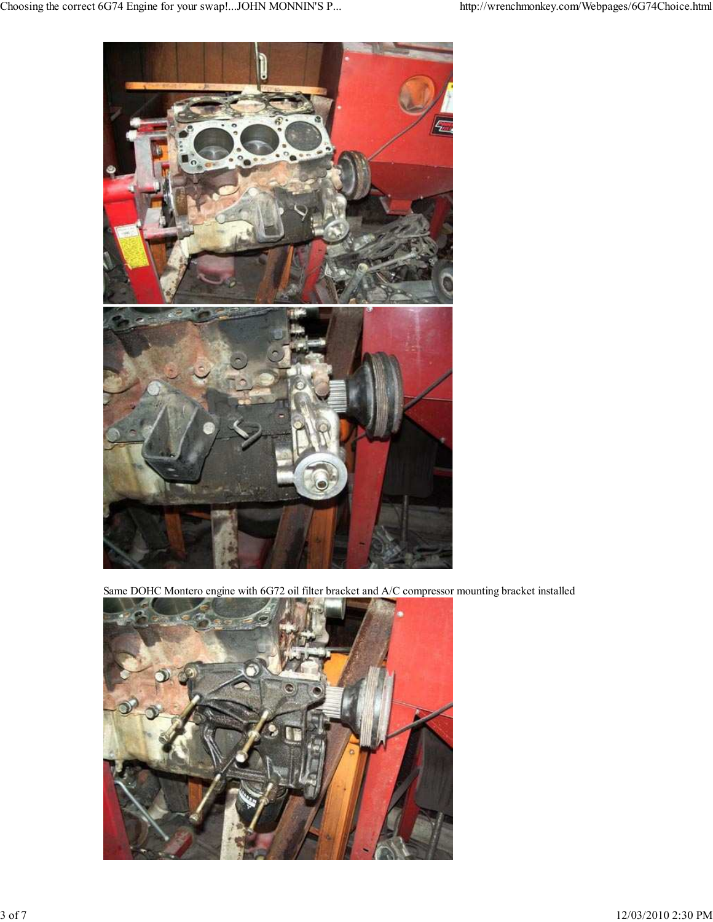

Same DOHC Montero engine with 6G72 oil filter bracket and A/C compressor mounting bracket installed

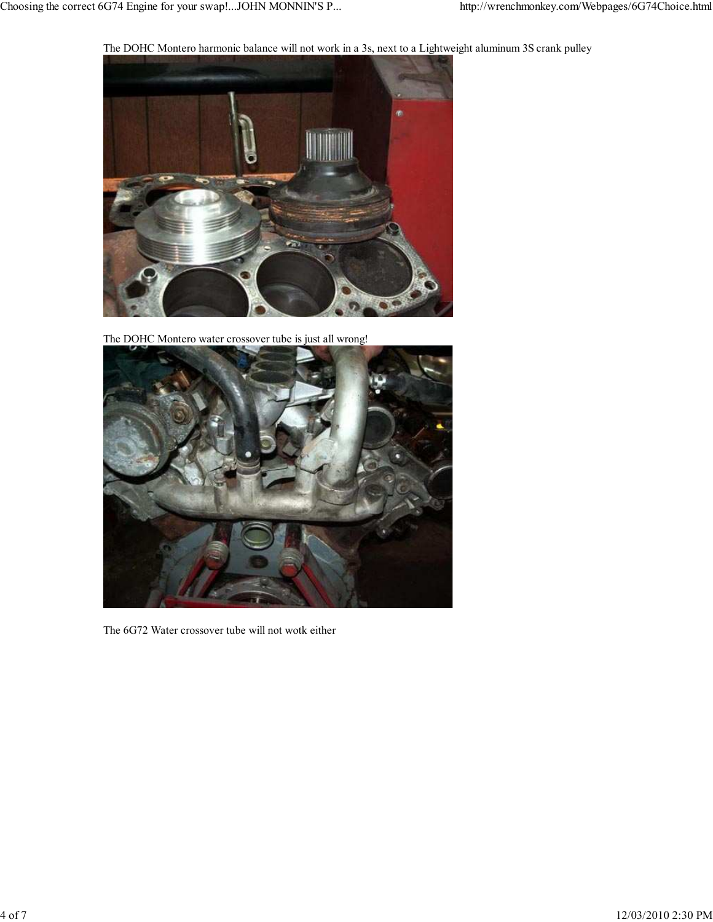The DOHC Montero harmonic balance will not work in a 3s, next to a Lightweight aluminum 3S crank pulley



The DOHC Montero water crossover tube is just all wrong!



The 6G72 Water crossover tube will not wotk either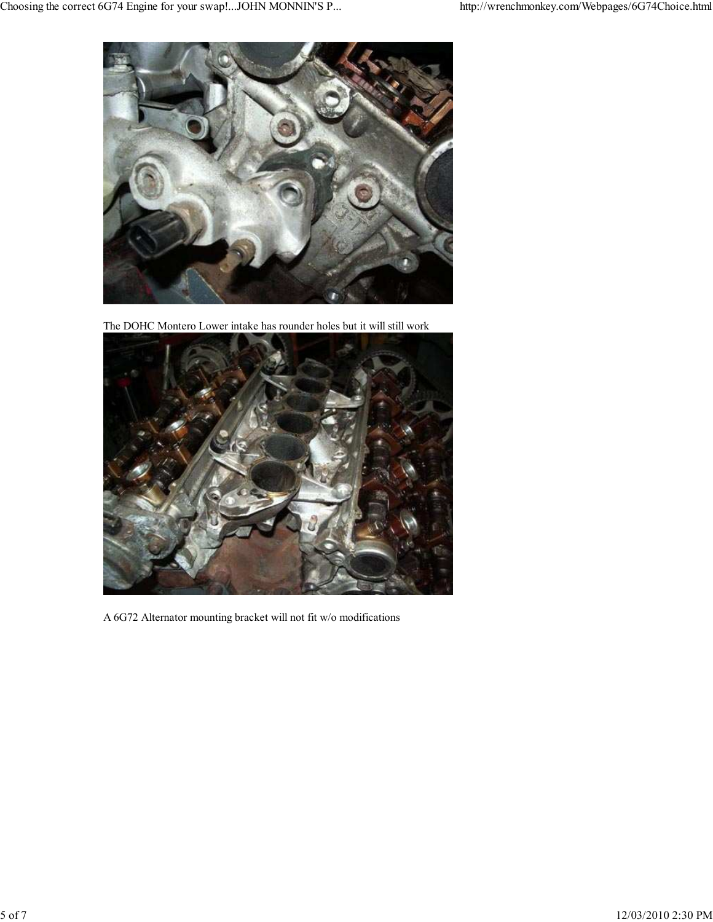

The DOHC Montero Lower intake has rounder holes but it will still work



A 6G72 Alternator mounting bracket will not fit w/o modifications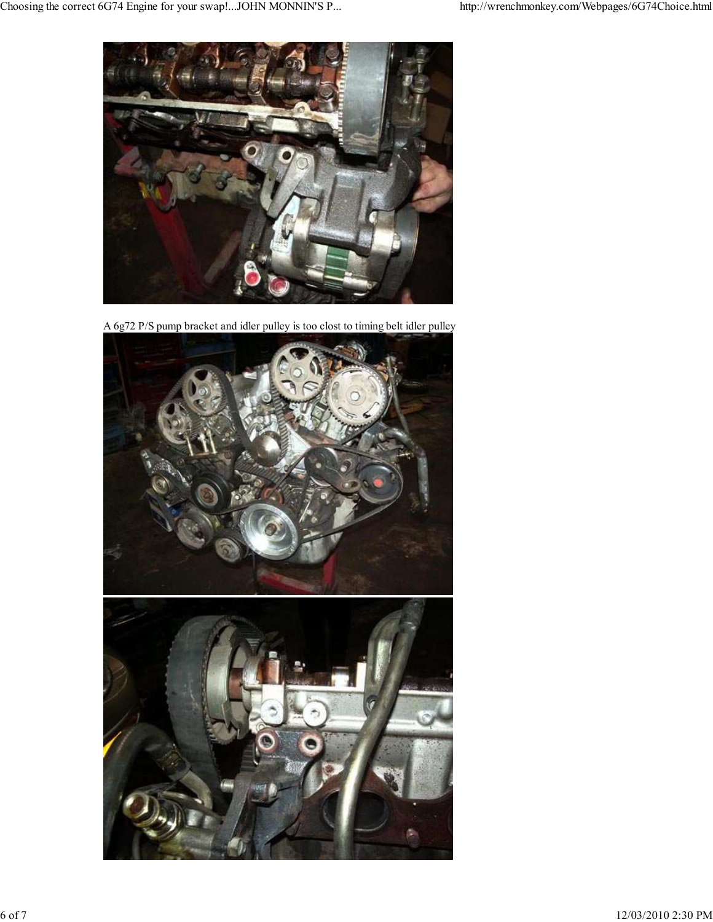

A 6g72 P/S pump bracket and idler pulley is too clost to timing belt idler pulley